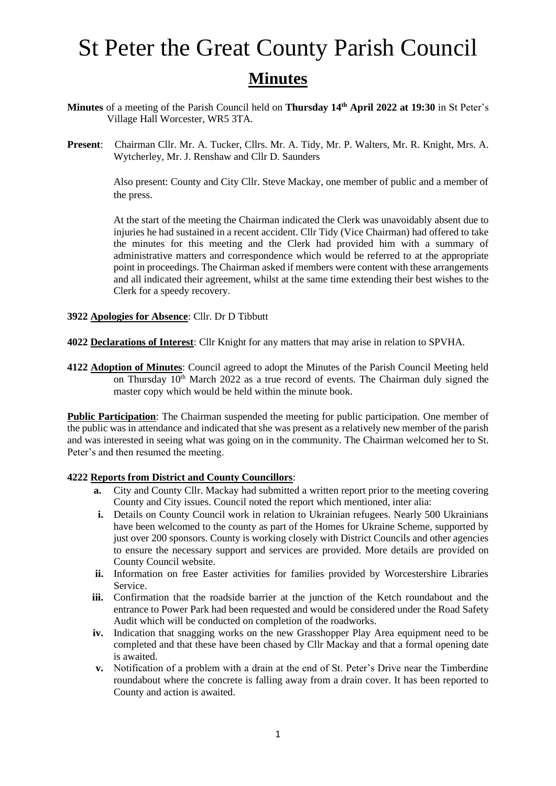- **Minutes** of a meeting of the Parish Council held on **Thursday 14th April 2022 at 19:30** in St Peter's Village Hall Worcester, WR5 3TA.
- **Present**: Chairman Cllr. Mr. A. Tucker, Cllrs. Mr. A. Tidy, Mr. P. Walters, Mr. R. Knight, Mrs. A. Wytcherley, Mr. J. Renshaw and Cllr D. Saunders

Also present: County and City Cllr. Steve Mackay, one member of public and a member of the press.

At the start of the meeting the Chairman indicated the Clerk was unavoidably absent due to injuries he had sustained in a recent accident. Cllr Tidy (Vice Chairman) had offered to take the minutes for this meeting and the Clerk had provided him with a summary of administrative matters and correspondence which would be referred to at the appropriate point in proceedings. The Chairman asked if members were content with these arrangements and all indicated their agreement, whilst at the same time extending their best wishes to the Clerk for a speedy recovery.

**3922 Apologies for Absence**: Cllr. Dr D Tibbutt

**4022 Declarations of Interest**: Cllr Knight for any matters that may arise in relation to SPVHA.

**4122 Adoption of Minutes**: Council agreed to adopt the Minutes of the Parish Council Meeting held on Thursday 10<sup>th</sup> March 2022 as a true record of events. The Chairman duly signed the master copy which would be held within the minute book.

**Public Participation**: The Chairman suspended the meeting for public participation. One member of the public was in attendance and indicated that she was present as a relatively new member of the parish and was interested in seeing what was going on in the community. The Chairman welcomed her to St. Peter's and then resumed the meeting.

#### **4222 Reports from District and County Councillors**:

- **a.** City and County Cllr. Mackay had submitted a written report prior to the meeting covering County and City issues. Council noted the report which mentioned, inter alia:
- **i.** Details on County Council work in relation to Ukrainian refugees. Nearly 500 Ukrainians have been welcomed to the county as part of the Homes for Ukraine Scheme, supported by just over 200 sponsors. County is working closely with District Councils and other agencies to ensure the necessary support and services are provided. More details are provided on County Council website.
- **ii.** Information on free Easter activities for families provided by Worcestershire Libraries Service.
- **iii.** Confirmation that the roadside barrier at the junction of the Ketch roundabout and the entrance to Power Park had been requested and would be considered under the Road Safety Audit which will be conducted on completion of the roadworks.
- **iv.** Indication that snagging works on the new Grasshopper Play Area equipment need to be completed and that these have been chased by Cllr Mackay and that a formal opening date is awaited.
- **v.** Notification of a problem with a drain at the end of St. Peter's Drive near the Timberdine roundabout where the concrete is falling away from a drain cover. It has been reported to County and action is awaited.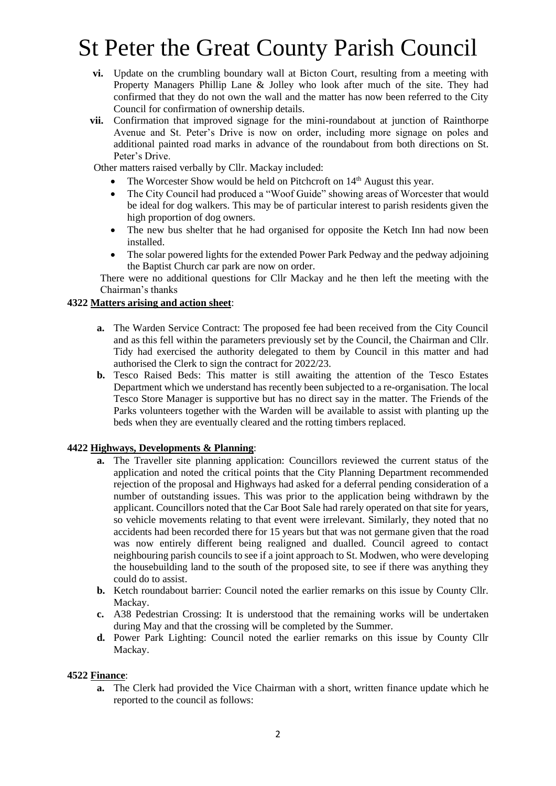- **vi.** Update on the crumbling boundary wall at Bicton Court, resulting from a meeting with Property Managers Phillip Lane & Jolley who look after much of the site. They had confirmed that they do not own the wall and the matter has now been referred to the City Council for confirmation of ownership details.
- **vii.** Confirmation that improved signage for the mini-roundabout at junction of Rainthorpe Avenue and St. Peter's Drive is now on order, including more signage on poles and additional painted road marks in advance of the roundabout from both directions on St. Peter's Drive.

Other matters raised verbally by Cllr. Mackay included:

- The Worcester Show would be held on Pitchcroft on 14<sup>th</sup> August this year.
- The City Council had produced a "Woof Guide" showing areas of Worcester that would be ideal for dog walkers. This may be of particular interest to parish residents given the high proportion of dog owners.
- The new bus shelter that he had organised for opposite the Ketch Inn had now been installed.
- The solar powered lights for the extended Power Park Pedway and the pedway adjoining the Baptist Church car park are now on order.

There were no additional questions for Cllr Mackay and he then left the meeting with the Chairman's thanks

### **4322 Matters arising and action sheet**:

- **a.** The Warden Service Contract: The proposed fee had been received from the City Council and as this fell within the parameters previously set by the Council, the Chairman and Cllr. Tidy had exercised the authority delegated to them by Council in this matter and had authorised the Clerk to sign the contract for 2022/23.
- **b.** Tesco Raised Beds: This matter is still awaiting the attention of the Tesco Estates Department which we understand has recently been subjected to a re-organisation. The local Tesco Store Manager is supportive but has no direct say in the matter. The Friends of the Parks volunteers together with the Warden will be available to assist with planting up the beds when they are eventually cleared and the rotting timbers replaced.

### **4422 Highways, Developments & Planning**:

- **a.** The Traveller site planning application: Councillors reviewed the current status of the application and noted the critical points that the City Planning Department recommended rejection of the proposal and Highways had asked for a deferral pending consideration of a number of outstanding issues. This was prior to the application being withdrawn by the applicant. Councillors noted that the Car Boot Sale had rarely operated on that site for years, so vehicle movements relating to that event were irrelevant. Similarly, they noted that no accidents had been recorded there for 15 years but that was not germane given that the road was now entirely different being realigned and dualled. Council agreed to contact neighbouring parish councils to see if a joint approach to St. Modwen, who were developing the housebuilding land to the south of the proposed site, to see if there was anything they could do to assist.
- **b.** Ketch roundabout barrier: Council noted the earlier remarks on this issue by County Cllr. Mackay.
- **c.** A38 Pedestrian Crossing: It is understood that the remaining works will be undertaken during May and that the crossing will be completed by the Summer.
- **d.** Power Park Lighting: Council noted the earlier remarks on this issue by County Cllr Mackay.

### **4522 Finance**:

**a.** The Clerk had provided the Vice Chairman with a short, written finance update which he reported to the council as follows: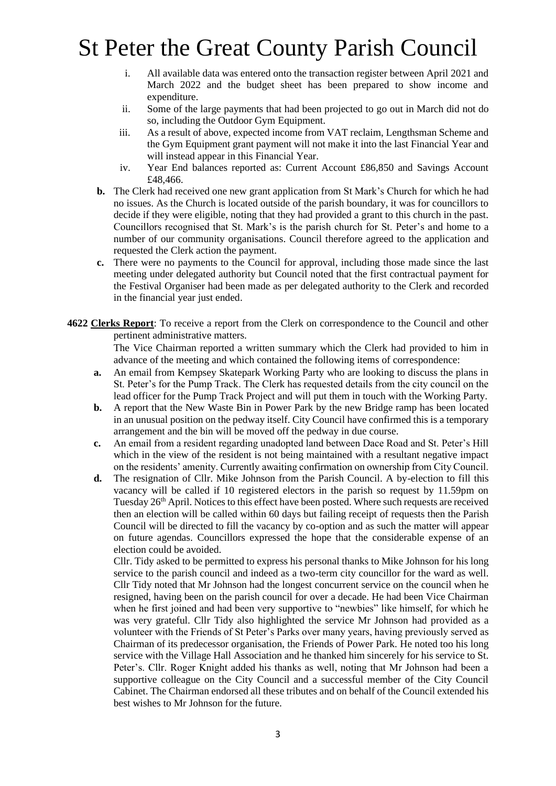- i. All available data was entered onto the transaction register between April 2021 and March 2022 and the budget sheet has been prepared to show income and expenditure.
- ii. Some of the large payments that had been projected to go out in March did not do so, including the Outdoor Gym Equipment.
- iii. As a result of above, expected income from VAT reclaim, Lengthsman Scheme and the Gym Equipment grant payment will not make it into the last Financial Year and will instead appear in this Financial Year.
- iv. Year End balances reported as: Current Account £86,850 and Savings Account £48,466.
- **b.** The Clerk had received one new grant application from St Mark's Church for which he had no issues. As the Church is located outside of the parish boundary, it was for councillors to decide if they were eligible, noting that they had provided a grant to this church in the past. Councillors recognised that St. Mark's is the parish church for St. Peter's and home to a number of our community organisations. Council therefore agreed to the application and requested the Clerk action the payment.
- **c.** There were no payments to the Council for approval, including those made since the last meeting under delegated authority but Council noted that the first contractual payment for the Festival Organiser had been made as per delegated authority to the Clerk and recorded in the financial year just ended.
- **4622 Clerks Report**: To receive a report from the Clerk on correspondence to the Council and other pertinent administrative matters.

 The Vice Chairman reported a written summary which the Clerk had provided to him in advance of the meeting and which contained the following items of correspondence:

- **a.** An email from Kempsey Skatepark Working Party who are looking to discuss the plans in St. Peter's for the Pump Track. The Clerk has requested details from the city council on the lead officer for the Pump Track Project and will put them in touch with the Working Party.
- **b.** A report that the New Waste Bin in Power Park by the new Bridge ramp has been located in an unusual position on the pedway itself. City Council have confirmed this is a temporary arrangement and the bin will be moved off the pedway in due course.
- **c.** An email from a resident regarding unadopted land between Dace Road and St. Peter's Hill which in the view of the resident is not being maintained with a resultant negative impact on the residents' amenity. Currently awaiting confirmation on ownership from City Council.
- **d.** The resignation of Cllr. Mike Johnson from the Parish Council. A by-election to fill this vacancy will be called if 10 registered electors in the parish so request by 11.59pm on Tuesday 26<sup>th</sup> April. Notices to this effect have been posted. Where such requests are received then an election will be called within 60 days but failing receipt of requests then the Parish Council will be directed to fill the vacancy by co-option and as such the matter will appear on future agendas. Councillors expressed the hope that the considerable expense of an election could be avoided.

Cllr. Tidy asked to be permitted to express his personal thanks to Mike Johnson for his long service to the parish council and indeed as a two-term city councillor for the ward as well. Cllr Tidy noted that Mr Johnson had the longest concurrent service on the council when he resigned, having been on the parish council for over a decade. He had been Vice Chairman when he first joined and had been very supportive to "newbies" like himself, for which he was very grateful. Cllr Tidy also highlighted the service Mr Johnson had provided as a volunteer with the Friends of St Peter's Parks over many years, having previously served as Chairman of its predecessor organisation, the Friends of Power Park. He noted too his long service with the Village Hall Association and he thanked him sincerely for his service to St. Peter's. Cllr. Roger Knight added his thanks as well, noting that Mr Johnson had been a supportive colleague on the City Council and a successful member of the City Council Cabinet. The Chairman endorsed all these tributes and on behalf of the Council extended his best wishes to Mr Johnson for the future.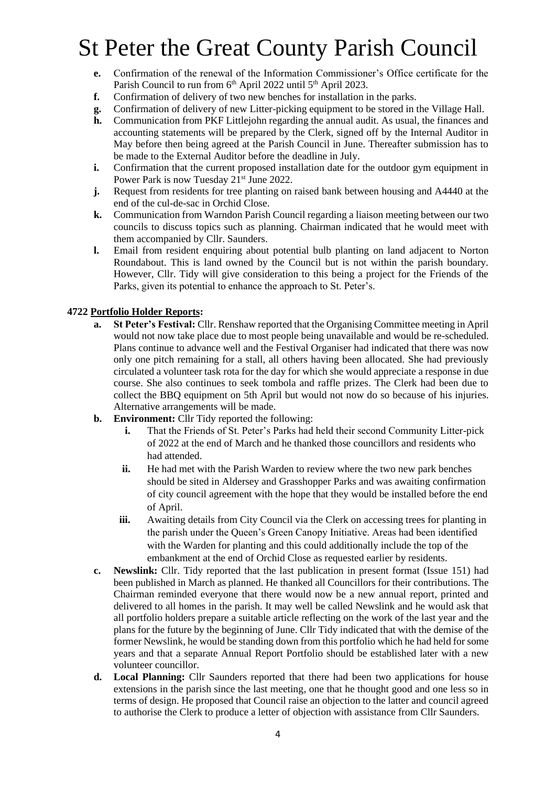- **e.** Confirmation of the renewal of the Information Commissioner's Office certificate for the Parish Council to run from 6<sup>th</sup> April 2022 until 5<sup>th</sup> April 2023.
- **f.** Confirmation of delivery of two new benches for installation in the parks.
- **g.** Confirmation of delivery of new Litter-picking equipment to be stored in the Village Hall.
- **h.** Communication from PKF Littlejohn regarding the annual audit. As usual, the finances and accounting statements will be prepared by the Clerk, signed off by the Internal Auditor in May before then being agreed at the Parish Council in June. Thereafter submission has to be made to the External Auditor before the deadline in July.
- **i.** Confirmation that the current proposed installation date for the outdoor gym equipment in Power Park is now Tuesday 21<sup>st</sup> June 2022.
- **j.** Request from residents for tree planting on raised bank between housing and A4440 at the end of the cul-de-sac in Orchid Close.
- **k.** Communication from Warndon Parish Council regarding a liaison meeting between our two councils to discuss topics such as planning. Chairman indicated that he would meet with them accompanied by Cllr. Saunders.
- **l.** Email from resident enquiring about potential bulb planting on land adjacent to Norton Roundabout. This is land owned by the Council but is not within the parish boundary. However, Cllr. Tidy will give consideration to this being a project for the Friends of the Parks, given its potential to enhance the approach to St. Peter's.

### **4722 Portfolio Holder Reports:**

- **a. St Peter's Festival:** Cllr. Renshaw reported that the Organising Committee meeting in April would not now take place due to most people being unavailable and would be re-scheduled. Plans continue to advance well and the Festival Organiser had indicated that there was now only one pitch remaining for a stall, all others having been allocated. She had previously circulated a volunteer task rota for the day for which she would appreciate a response in due course. She also continues to seek tombola and raffle prizes. The Clerk had been due to collect the BBQ equipment on 5th April but would not now do so because of his injuries. Alternative arrangements will be made.
- **b. Environment:** Cllr Tidy reported the following:
	- **i.** That the Friends of St. Peter's Parks had held their second Community Litter-pick of 2022 at the end of March and he thanked those councillors and residents who had attended.
	- **ii.** He had met with the Parish Warden to review where the two new park benches should be sited in Aldersey and Grasshopper Parks and was awaiting confirmation of city council agreement with the hope that they would be installed before the end of April.
	- **iii.** Awaiting details from City Council via the Clerk on accessing trees for planting in the parish under the Queen's Green Canopy Initiative. Areas had been identified with the Warden for planting and this could additionally include the top of the embankment at the end of Orchid Close as requested earlier by residents.
- **c. Newslink:** Cllr. Tidy reported that the last publication in present format (Issue 151) had been published in March as planned. He thanked all Councillors for their contributions. The Chairman reminded everyone that there would now be a new annual report, printed and delivered to all homes in the parish. It may well be called Newslink and he would ask that all portfolio holders prepare a suitable article reflecting on the work of the last year and the plans for the future by the beginning of June. Cllr Tidy indicated that with the demise of the former Newslink, he would be standing down from this portfolio which he had held for some years and that a separate Annual Report Portfolio should be established later with a new volunteer councillor.
- **d. Local Planning:** Cllr Saunders reported that there had been two applications for house extensions in the parish since the last meeting, one that he thought good and one less so in terms of design. He proposed that Council raise an objection to the latter and council agreed to authorise the Clerk to produce a letter of objection with assistance from Cllr Saunders.